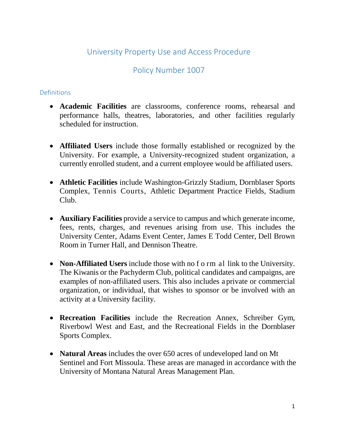# University Property Use and Access Procedure

# Policy Number 1007

## Definitions

- **Academic Facilities** are classrooms, conference rooms, rehearsal and performance halls, theatres, laboratories, and other facilities regularly scheduled for instruction.
- **Affiliated Users** include those formally established or recognized by the University. For example, a University-recognized student organization, a currently enrolled student, and a current employee would be affiliated users.
- **Athletic Facilities** include Washington-Grizzly Stadium, Dornblaser Sports Complex, Tennis Courts, Athletic Department Practice Fields, Stadium Club.
- **Auxiliary Facilities** provide a service to campus and which generate income, fees, rents, charges, and revenues arising from use. This includes the University Center, Adams Event Center, James E Todd Center, Dell Brown Room in Turner Hall, and Dennison Theatre.
- **Non-Affiliated Users** include those with no f o rm allink to the University. The Kiwanis or the Pachyderm Club, political candidates and campaigns, are examples of non-affiliated users. This also includes a private or commercial organization, or individual, that wishes to sponsor or be involved with an activity at a University facility.
- **Recreation Facilities** include the Recreation Annex, Schreiber Gym, Riverbowl West and East, and the Recreational Fields in the Dornblaser Sports Complex.
- **Natural Areas** includes the over 650 acres of undeveloped land on Mt Sentinel and Fort Missoula. These areas are managed in accordance with the University of Montana Natural Areas Management Plan.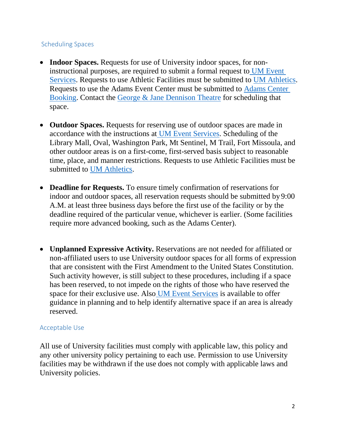## Scheduling Spaces

- **Indoor Spaces.** Requests for use of University indoor spaces, for noninstructional purposes, are required to submit a formal request to [UM Event](https://www.umt.edu/mteventservices/policies-and-forms/default.php) [Services.](https://www.umt.edu/mteventservices/policies-and-forms/default.php) Requests to use Athletic Facilities must be submitted to [UM Athletics.](https://gogriz.com/facilities/) Requests to use the Adams Event Center must be submitted to [Adams Center](http://www.umt.edu/griztix/venue-information/adams-center/booking/default.php) [Booking.](http://www.umt.edu/griztix/venue-information/adams-center/booking/default.php) Contact the [George & Jane Dennison Theatre](http://www.umt.edu/dennison-theatre/) for scheduling that space.
- **Outdoor Spaces.** Requests for reserving use of outdoor spaces are made in accordance with the instructions at [UM Event Services.](https://www.umt.edu/mteventservices/policies-and-forms/default.php) Scheduling of the Library Mall, Oval, Washington Park, Mt Sentinel, M Trail, Fort Missoula, and other outdoor areas is on a first-come, first-served basis subject to reasonable time, place, and manner restrictions. Requests to use Athletic Facilities must be submitted to UM [Athletics.](https://gogriz.com/facilities/)
- **Deadline for Requests.** To ensure timely confirmation of reservations for indoor and outdoor spaces, all reservation requests should be submitted by 9:00 A.M. at least three business days before the first use of the facility or by the deadline required of the particular venue, whichever is earlier. (Some facilities require more advanced booking, such as the Adams Center).
- **Unplanned Expressive Activity.** Reservations are not needed for affiliated or non-affiliated users to use University outdoor spaces for all forms of expression that are consistent with the First Amendment to the United States Constitution. Such activity however, is still subject to these procedures, including if a space has been reserved, to not impede on the rights of those who have reserved the space for their exclusive use. Also [UM Event Services](https://www.umt.edu/mteventservices/policies-and-forms/default.php) is available to offer guidance in planning and to help identify alternative space if an area is already reserved.

#### Acceptable Use

All use of University facilities must comply with applicable law, this policy and any other university policy pertaining to each use. Permission to use University facilities may be withdrawn if the use does not comply with applicable laws and University policies.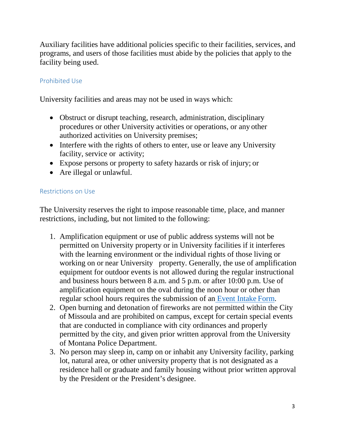Auxiliary facilities have additional policies specific to their facilities, services, and programs, and users of those facilities must abide by the policies that apply to the facility being used.

# Prohibited Use

University facilities and areas may not be used in ways which:

- Obstruct or disrupt teaching, research, administration, disciplinary procedures or other University activities or operations, or any other authorized activities on University premises;
- Interfere with the rights of others to enter, use or leave any University facility, service or activity;
- Expose persons or property to safety hazards or risk of injury; or
- Are illegal or unlawful.

## Restrictions on Use

The University reserves the right to impose reasonable time, place, and manner restrictions, including, but not limited to the following:

- 1. Amplification equipment or use of public address systems will not be permitted on University property or in University facilities if it interferes with the learning environment or the individual rights of those living or working on or near University property. Generally, the use of amplification equipment for outdoor events is not allowed during the regular instructional and business hours between 8 a.m. and 5 p.m. or after 10:00 p.m. Use of amplification equipment on the oval during the noon hour or other than regular school hours requires the submission of an [Event Intake](https://umt.co1.qualtrics.com/jfe/form/SV_9FhWE8niEb44KCV) Form.
- 2. Open burning and detonation of fireworks are not permitted within the City of Missoula and are prohibited on campus, except for certain special events that are conducted in compliance with city ordinances and properly permitted by the city, and given prior written approval from the University of Montana Police Department.
- 3. No person may sleep in, camp on or inhabit any University facility, parking lot, natural area, or other university property that is not designated as a residence hall or graduate and family housing without prior written approval by the President or the President's designee.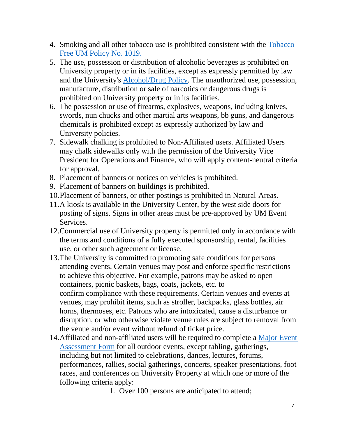- 4. Smoking and all other tobacco use is prohibited consistent with the [Tobacco](http://www.umt.edu/policies/browse/facilities-security/tobacco-free-um) [Free UM Policy No.](http://www.umt.edu/policies/browse/facilities-security/tobacco-free-um) 1019.
- 5. The use, possession or distribution of alcoholic beverages is prohibited on University property or in its facilities, except as expressly permitted by law and the University's [Alcohol/Drug Policy. T](http://www.umt.edu/policies/browse/facilities-security/alcohol)he unauthorized use, possession, manufacture, distribution or sale of narcotics or dangerous drugs is prohibited on University property or in its facilities.
- 6. The possession or use of firearms, explosives, weapons, including knives, swords, nun chucks and other martial arts weapons, bb guns, and dangerous chemicals is prohibited except as expressly authorized by law and University policies.
- 7. Sidewalk chalking is prohibited to Non-Affiliated users. Affiliated Users may chalk sidewalks only with the permission of the University Vice President for Operations and Finance, who will apply content-neutral criteria for approval.
- 8. Placement of banners or notices on vehicles is prohibited.
- 9. Placement of banners on buildings is prohibited.
- 10.Placement of banners, or other postings is prohibited in Natural Areas.
- 11.A kiosk is available in the University Center, by the west side doors for posting of signs. Signs in other areas must be pre-approved by UM Event Services.
- 12.Commercial use of University property is permitted only in accordance with the terms and conditions of a fully executed sponsorship, rental, facilities use, or other such agreement or license.
- 13.The University is committed to promoting safe conditions for persons attending events. Certain venues may post and enforce specific restrictions to achieve this objective. For example, patrons may be asked to open containers, picnic baskets, bags, coats, jackets, etc. to confirm compliance with these requirements. Certain venues and events at venues, may prohibit items, such as stroller, backpacks, glass bottles, air horns, thermoses, etc. Patrons who are intoxicated, cause a disturbance or disruption, or who otherwise violate venue rules are subject to removal from the venue and/or event without refund of ticket price.
- 14[.Affiliated and non-affiliated users will be required to complete a](https://umt.co1.qualtrics.com/jfe/form/SV_cPfYp82YT8g9F2J) Major Event Assessment Form [for all outdoor events, except tabling, g](https://umt.co1.qualtrics.com/jfe/form/SV_cPfYp82YT8g9F2J)atherings, including but not limited to celebrations, dances, lectures, forums, performances, rallies, social gatherings, concerts, speaker presentations, foot races, and conferences on University Property at which one or more of the following criteria apply:

1. Over 100 persons are anticipated to attend;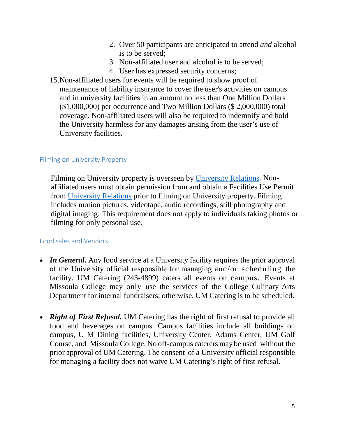- 2. Over 50 participants are anticipated to attend *and* alcohol is to be served;
- 3. Non-affiliated user and alcohol is to be served;
- 4. User has expressed security concerns;
- 15.Non-affiliated users for events will be required to show proof of maintenance of liability insurance to cover the user's activities on campus and in university facilities in an amount no less than One Million Dollars (\$1,000,000) per occurrence and Two Million Dollars (\$ 2,000,000) total coverage. Non-affiliated users will also be required to indemnify and hold the University harmless for any damages arising from the user's use of University facilities.

## Filming on University Property

Filming on University property is overseen by [University Relations.](http://www.umt.edu/urelations/) Nonaffiliated users must obtain permission from and obtain a Facilities Use Permit from [University Relations](http://www.umt.edu/urelations/) prior to filming on University property. Filming includes motion pictures, videotape, audio recordings, still photography and digital imaging. This requirement does not apply to individuals taking photos or filming for only personal use.

# Food sales and Vendors

- *In General.* Any food service at a University facility requires the prior approval of the University official responsible for managing and/or scheduling the facility. UM Catering (243-4899) caters all events on campus. Events at Missoula College may only use the services of the College Culinary Arts Department for internal fundraisers; otherwise, UM Catering is to be scheduled.
- *Right of First Refusal.* UM Catering has the right of first refusal to provide all food and beverages on campus. Campus facilities include all buildings on campus, U M Dining facilities, University Center, Adams Center, UM Golf Course, and Missoula College. No off-campus caterers may be used without the prior approval of UM Catering. The consent of a University official responsible for managing a facility does not waive UM Catering's right of first refusal.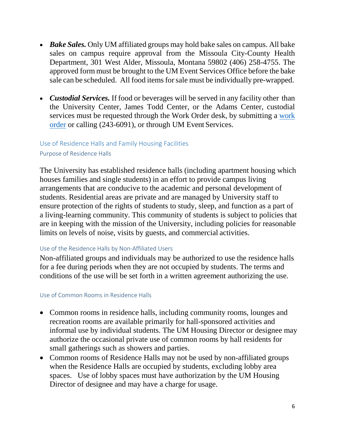- *Bake Sales.* Only UM affiliated groups may hold bake sales on campus. All bake sales on campus require approval from the Missoula City-County Health Department, 301 West Alder, Missoula, Montana 59802 (406) 258-4755. The approved form must be brought to the UM Event Services Office before the bake sale can be scheduled. All food items for sale must be individually pre-wrapped.
- *Custodial Services.* If food or beverages will be served in any facility other than the University Center, James Todd Center, or the Adams Center, custodial services must be requested through the Work Order desk, by submitting a [work](http://www.umt.edu/facilities/submit-work-order.php) [order](http://www.umt.edu/facilities/submit-work-order.php) or calling (243-6091), or through UM Event Services.

## Use of Residence Halls and Family Housing Facilities Purpose of Residence Halls

The University has established residence halls (including apartment housing which houses families and single students) in an effort to provide campus living arrangements that are conducive to the academic and personal development of students. Residential areas are private and are managed by University staff to ensure protection of the rights of students to study, sleep, and function as a part of a living-learning community. This community of students is subject to policies that are in keeping with the mission of the University, including policies for reasonable limits on levels of noise, visits by guests, and commercial activities.

#### Use of the Residence Halls by Non-Affiliated Users

Non-affiliated groups and individuals may be authorized to use the residence halls for a fee during periods when they are not occupied by students. The terms and conditions of the use will be set forth in a written agreement authorizing the use.

#### Use of Common Rooms in Residence Halls

- Common rooms in residence halls, including community rooms, lounges and recreation rooms are available primarily for hall-sponsored activities and informal use by individual students. The UM Housing Director or designee may authorize the occasional private use of common rooms by hall residents for small gatherings such as showers and parties.
- Common rooms of Residence Halls may not be used by non-affiliated groups when the Residence Halls are occupied by students, excluding lobby area spaces. Use of lobby spaces must have authorization by the UM Housing Director of designee and may have a charge for usage.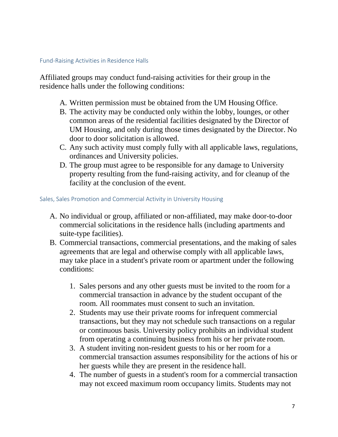#### Fund-Raising Activities in Residence Halls

Affiliated groups may conduct fund-raising activities for their group in the residence halls under the following conditions:

- A. Written permission must be obtained from the UM Housing Office.
- B. The activity may be conducted only within the lobby, lounges, or other common areas of the residential facilities designated by the Director of UM Housing, and only during those times designated by the Director. No door to door solicitation is allowed.
- C. Any such activity must comply fully with all applicable laws, regulations, ordinances and University policies.
- D. The group must agree to be responsible for any damage to University property resulting from the fund-raising activity, and for cleanup of the facility at the conclusion of the event.

#### Sales, Sales Promotion and Commercial Activity in University Housing

- A. No individual or group, affiliated or non-affiliated, may make door-to-door commercial solicitations in the residence halls (including apartments and suite-type facilities).
- B. Commercial transactions, commercial presentations, and the making of sales agreements that are legal and otherwise comply with all applicable laws, may take place in a student's private room or apartment under the following conditions:
	- 1. Sales persons and any other guests must be invited to the room for a commercial transaction in advance by the student occupant of the room. All roommates must consent to such an invitation.
	- 2. Students may use their private rooms for infrequent commercial transactions, but they may not schedule such transactions on a regular or continuous basis. University policy prohibits an individual student from operating a continuing business from his or her private room.
	- 3. A student inviting non-resident guests to his or her room for a commercial transaction assumes responsibility for the actions of his or her guests while they are present in the residence hall.
	- 4. The number of guests in a student's room for a commercial transaction may not exceed maximum room occupancy limits. Students may not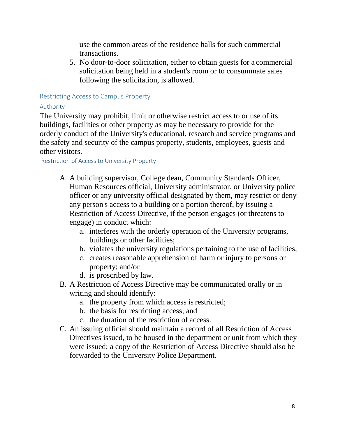use the common areas of the residence halls for such commercial transactions.

5. No door-to-door solicitation, either to obtain guests for a commercial solicitation being held in a student's room or to consummate sales following the solicitation, is allowed.

## Restricting Access to Campus Property

## Authority

The University may prohibit, limit or otherwise restrict access to or use of its buildings, facilities or other property as may be necessary to provide for the orderly conduct of the University's educational, research and service programs and the safety and security of the campus property, students, employees, guests and other visitors.

## Restriction of Access to University Property

- A. A building supervisor, College dean, Community Standards Officer, Human Resources official, University administrator, or University police officer or any university official designated by them, may restrict or deny any person's access to a building or a portion thereof, by issuing a Restriction of Access Directive, if the person engages (or threatens to engage) in conduct which:
	- a. interferes with the orderly operation of the University programs, buildings or other facilities;
	- b. violates the university regulations pertaining to the use of facilities;
	- c. creates reasonable apprehension of harm or injury to persons or property; and/or
	- d. is proscribed by law.
- B. A Restriction of Access Directive may be communicated orally or in writing and should identify:
	- a. the property from which access is restricted;
	- b. the basis for restricting access; and
	- c. the duration of the restriction of access.
- C. An issuing official should maintain a record of all Restriction of Access Directives issued, to be housed in the department or unit from which they were issued; a copy of the Restriction of Access Directive should also be forwarded to the University Police Department.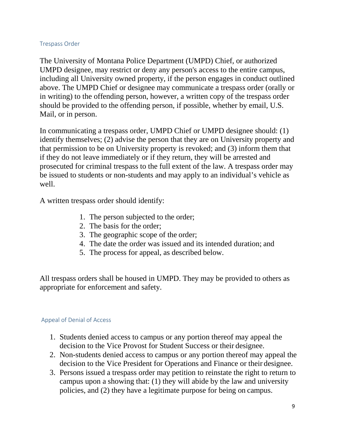#### Trespass Order

The University of Montana Police Department (UMPD) Chief, or authorized UMPD designee, may restrict or deny any person's access to the entire campus, including all University owned property, if the person engages in conduct outlined above. The UMPD Chief or designee may communicate a trespass order (orally or in writing) to the offending person, however, a written copy of the trespass order should be provided to the offending person, if possible, whether by email, U.S. Mail, or in person.

In communicating a trespass order, UMPD Chief or UMPD designee should: (1) identify themselves; (2) advise the person that they are on University property and that permission to be on University property is revoked; and (3) inform them that if they do not leave immediately or if they return, they will be arrested and prosecuted for criminal trespass to the full extent of the law. A trespass order may be issued to students or non-students and may apply to an individual's vehicle as well.

A written trespass order should identify:

- 1. The person subjected to the order;
- 2. The basis for the order;
- 3. The geographic scope of the order;
- 4. The date the order was issued and its intended duration; and
- 5. The process for appeal, as described below.

All trespass orders shall be housed in UMPD. They may be provided to others as appropriate for enforcement and safety.

#### Appeal of Denial of Access

- 1. Students denied access to campus or any portion thereof may appeal the decision to the Vice Provost for Student Success or their designee.
- 2. Non-students denied access to campus or any portion thereof may appeal the decision to the Vice President for Operations and Finance or their designee.
- 3. Persons issued a trespass order may petition to reinstate the right to return to campus upon a showing that: (1) they will abide by the law and university policies, and (2) they have a legitimate purpose for being on campus.